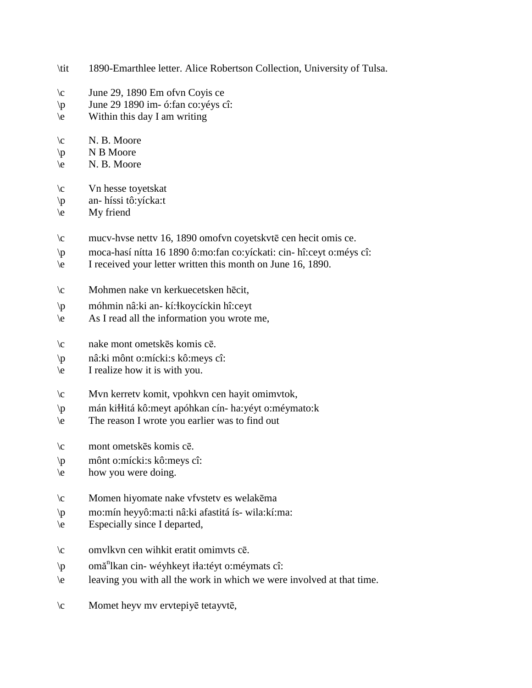- \tit 1890-Emarthlee letter. Alice Robertson Collection, University of Tulsa.
- $\c$  June 29, 1890 Em of vn Coyis ce
- \p June 29 1890 im- ó:fan co:yéys cî:
- $\left\langle e\right\rangle$  Within this day I am writing
- $\c$  N. B. Moore
- $\pmb{\downarrow}$  N B Moore
- $\leq N. B. Moore$
- \c Vn hesse toyetskat
- \p an- híssi tô:yícka:t
- \e My friend
- \c mucv-hvse nettv 16, 1890 omofvn coyetskvtē cen hecit omis ce.
- \p moca-hasí nítta 16 1890 ô:mo:fan co:yíckati: cin- hî:ceyt o:méys cî:
- \e I received your letter written this month on June 16, 1890.
- \c Mohmen nake vn kerkuecetsken hēcit,
- \p móhmin nâ:ki an- kí:!koycíckin hî:ceyt
- \e As I read all the information you wrote me,
- \c nake mont ometskēs komis cē.
- \p nâ:ki mônt o:mícki:s kô:meys cî:
- \e I realize how it is with you.
- \c Mvn kerretv komit, vpohkvn cen hayit omimvtok,
- \p mán ki!!itá kô:meyt apóhkan cín- ha:yéyt o:méymato:k
- \e The reason I wrote you earlier was to find out
- \c mont ometskēs komis cē.
- \p mônt o:mícki:s kô:meys cî:
- \e how you were doing.
- \c Momen hiyomate nake vfvstetv es welakēma
- \p mo:mín heyyô:ma:ti nâ:ki afastitá ís- wila:kí:ma:
- \e Especially since I departed,
- \c omvlkvn cen wihkit eratit omimvts cē.
- \p omă<sup>n</sup>lkan cin- wéyhkeyt iła:téyt o:méymats cî:
- \e leaving you with all the work in which we were involved at that time.
- \c Momet heyv mv ervtepiyē tetayvtē,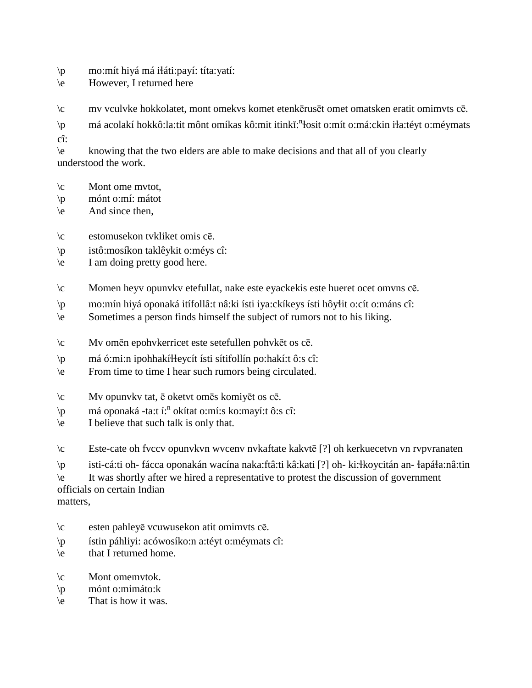- $\pi$  mo:mít hiyá má i $\pi$ áti:payí: títa:yatí:
- \e However, I returned here
- \c mv vculvke hokkolatet, mont omekvs komet etenkērusēt omet omatsken eratit omimvts cē.
- \p má acolakí hokkô:la:tit mônt omíkas kô:mit itinkĭ:<sup>n</sup>łosit o:mít o:má:ckin iła:téyt o:méymats
- cî:

\e knowing that the two elders are able to make decisions and that all of you clearly understood the work.

- $\c$  Mont ome mvtot,
- \p mónt o:mí: mátot
- \e And since then,

\c estomusekon tvkliket omis cē.

- \p istô:mosíkon taklêykit o:méys cî:
- \e I am doing pretty good here.
- \c Momen heyv opunvkv etefullat, nake este eyackekis este hueret ocet omvns cē.
- \p mo:mín hiyá oponaká itífollâ:t nâ:ki ísti iya:ckíkeys ísti hôy!it o:cít o:máns cî:
- \e Sometimes a person finds himself the subject of rumors not to his liking.
- \c Mv omēn epohvkerricet este setefullen pohvkēt os cē.
- \p má ó:mi:n ipohhakí!!eycít ísti sítifollín po:hakí:t ô:s cî:
- \e From time to time I hear such rumors being circulated.
- \c Mv opunvkv tat, ē oketvt omēs komiyēt os cē.
- \p má oponaká -ta:t í:<sup>n</sup> okítat o:mí:s ko:mayí:t ô:s cî:
- $\leq$  I believe that such talk is only that.
- \c Este-cate oh fvccv opunvkvn wvcenv nvkaftate kakvtē [?] oh kerkuecetvn vn rvpvranaten
- \p isti-cá:ti oh- fácca oponakán wacína naka:ftâ:ti kâ:kati [?] oh- ki:!koycitán an- !apá!a:nâ:tin

\e It was shortly after we hired a representative to protest the discussion of government officials on certain Indian

matters,

- \c esten pahleyē vcuwusekon atit omimvts cē.
- \p ístin páhliyi: acówosíko:n a:téyt o:méymats cî:
- $\leq$  that I returned home.
- \c Mont omemvtok.
- \p mónt o:mimáto:k
- \e That is how it was.